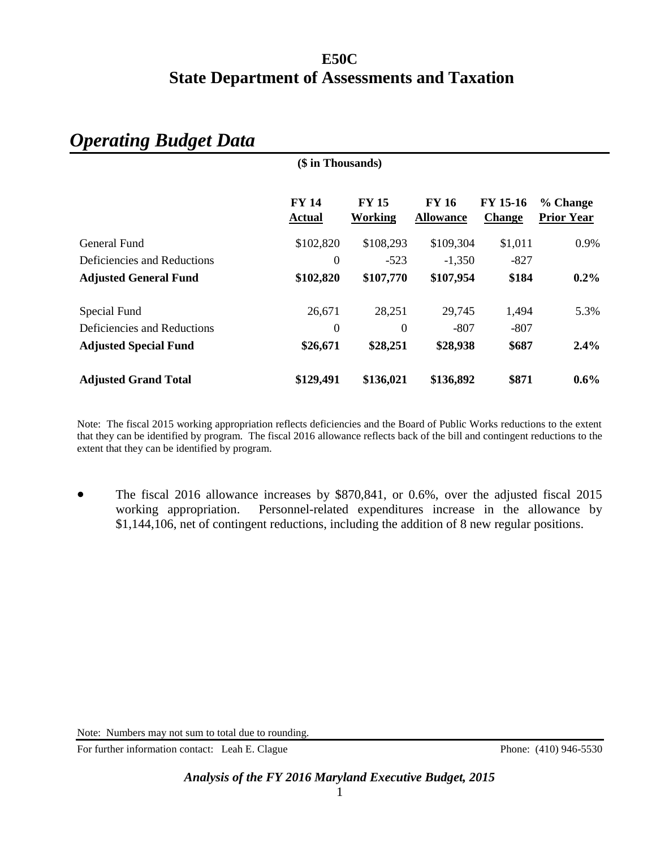## **E50C State Department of Assessments and Taxation**

| (\$ in Thousands)            |                               |                         |                                  |                                  |                               |  |  |  |
|------------------------------|-------------------------------|-------------------------|----------------------------------|----------------------------------|-------------------------------|--|--|--|
|                              | <b>FY 14</b><br><b>Actual</b> | <b>FY 15</b><br>Working | <b>FY 16</b><br><b>Allowance</b> | <b>FY 15-16</b><br><b>Change</b> | % Change<br><b>Prior Year</b> |  |  |  |
| General Fund                 | \$102,820                     | \$108,293               | \$109,304                        | \$1,011                          | 0.9%                          |  |  |  |
| Deficiencies and Reductions  | $\overline{0}$                | $-523$                  | $-1,350$                         | $-827$                           |                               |  |  |  |
| <b>Adjusted General Fund</b> | \$102,820                     | \$107,770               | \$107,954                        | \$184                            | $0.2\%$                       |  |  |  |
| Special Fund                 | 26,671                        | 28,251                  | 29,745                           | 1,494                            | 5.3%                          |  |  |  |
| Deficiencies and Reductions  | $\Omega$                      | $\boldsymbol{0}$        | $-807$                           | $-807$                           |                               |  |  |  |
| <b>Adjusted Special Fund</b> | \$26,671                      | \$28,251                | \$28,938                         | \$687                            | 2.4%                          |  |  |  |
| <b>Adjusted Grand Total</b>  | \$129,491                     | \$136,021               | \$136,892                        | \$871                            | $0.6\%$                       |  |  |  |

## *Operating Budget Data*

Note: The fiscal 2015 working appropriation reflects deficiencies and the Board of Public Works reductions to the extent that they can be identified by program. The fiscal 2016 allowance reflects back of the bill and contingent reductions to the extent that they can be identified by program.

• The fiscal 2016 allowance increases by \$870,841, or 0.6%, over the adjusted fiscal 2015 working appropriation. Personnel-related expenditures increase in the allowance by \$1,144,106, net of contingent reductions, including the addition of 8 new regular positions.

Note: Numbers may not sum to total due to rounding.

For further information contact: Leah E. Clague Phone: (410) 946-5530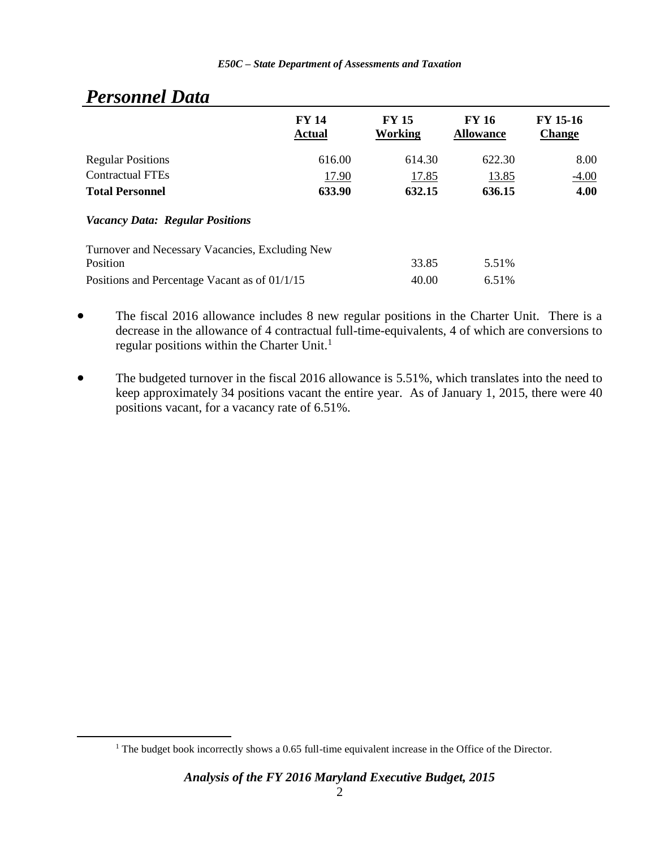|                                                 | <b>FY 14</b><br><b>Actual</b> | <b>FY 15</b><br>Working | <b>FY 16</b><br><b>Allowance</b> | FY 15-16<br><b>Change</b> |
|-------------------------------------------------|-------------------------------|-------------------------|----------------------------------|---------------------------|
| <b>Regular Positions</b>                        | 616.00                        | 614.30                  | 622.30                           | 8.00                      |
| <b>Contractual FTEs</b>                         | 17.90                         | 17.85                   | 13.85                            | $-4.00$                   |
| <b>Total Personnel</b>                          | 633.90                        | 632.15                  | 636.15                           | 4.00                      |
| <b>Vacancy Data: Regular Positions</b>          |                               |                         |                                  |                           |
| Turnover and Necessary Vacancies, Excluding New |                               |                         |                                  |                           |
| Position                                        |                               | 33.85                   | 5.51%                            |                           |
| Positions and Percentage Vacant as of 01/1/15   |                               | 40.00                   | 6.51%                            |                           |

## *Personnel Data*

 $\overline{a}$ 

#### The fiscal 2016 allowance includes 8 new regular positions in the Charter Unit. There is a decrease in the allowance of 4 contractual full-time-equivalents, 4 of which are conversions to regular positions within the Charter Unit.<sup>1</sup>

 The budgeted turnover in the fiscal 2016 allowance is 5.51%, which translates into the need to keep approximately 34 positions vacant the entire year. As of January 1, 2015, there were 40 positions vacant, for a vacancy rate of 6.51%.

<sup>&</sup>lt;sup>1</sup> The budget book incorrectly shows a 0.65 full-time equivalent increase in the Office of the Director.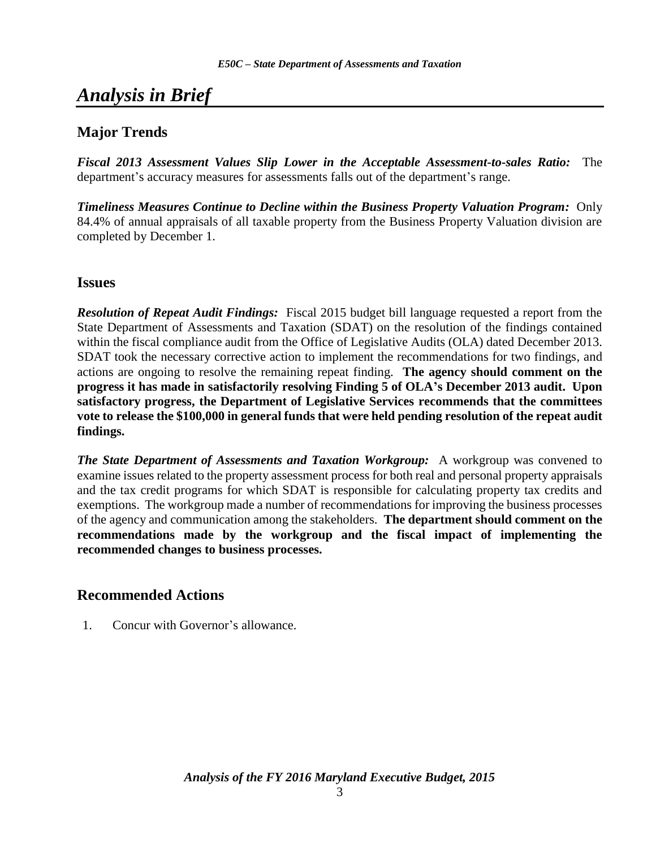# *Analysis in Brief*

## **Major Trends**

*Fiscal 2013 Assessment Values Slip Lower in the Acceptable Assessment-to-sales Ratio:* The department's accuracy measures for assessments falls out of the department's range.

*Timeliness Measures Continue to Decline within the Business Property Valuation Program:* Only 84.4% of annual appraisals of all taxable property from the Business Property Valuation division are completed by December 1.

#### **Issues**

*Resolution of Repeat Audit Findings:* Fiscal 2015 budget bill language requested a report from the State Department of Assessments and Taxation (SDAT) on the resolution of the findings contained within the fiscal compliance audit from the Office of Legislative Audits (OLA) dated December 2013. SDAT took the necessary corrective action to implement the recommendations for two findings, and actions are ongoing to resolve the remaining repeat finding. **The agency should comment on the progress it has made in satisfactorily resolving Finding 5 of OLA's December 2013 audit. Upon satisfactory progress, the Department of Legislative Services recommends that the committees vote to release the \$100,000 in general funds that were held pending resolution of the repeat audit findings.** 

*The State Department of Assessments and Taxation Workgroup:* A workgroup was convened to examine issues related to the property assessment process for both real and personal property appraisals and the tax credit programs for which SDAT is responsible for calculating property tax credits and exemptions. The workgroup made a number of recommendations for improving the business processes of the agency and communication among the stakeholders. **The department should comment on the recommendations made by the workgroup and the fiscal impact of implementing the recommended changes to business processes.** 

## **Recommended Actions**

1. Concur with Governor's allowance.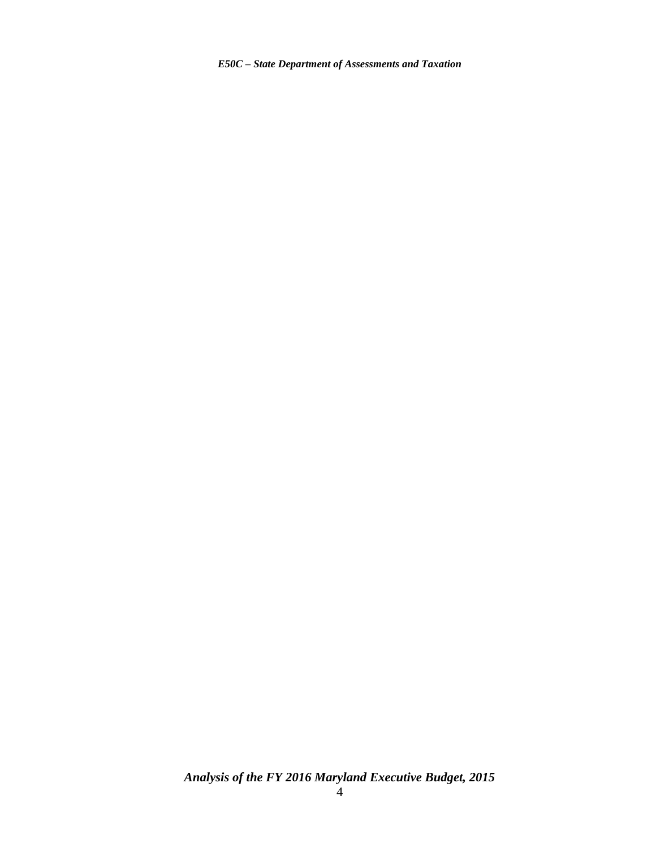*E50C – State Department of Assessments and Taxation*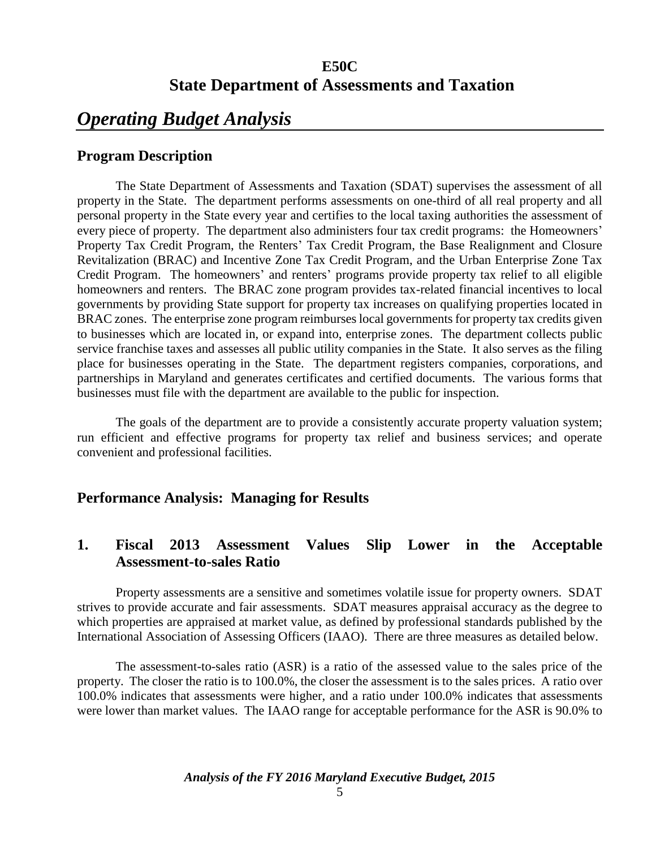## **E50C State Department of Assessments and Taxation**

## *Operating Budget Analysis*

#### **Program Description**

The State Department of Assessments and Taxation (SDAT) supervises the assessment of all property in the State. The department performs assessments on one-third of all real property and all personal property in the State every year and certifies to the local taxing authorities the assessment of every piece of property. The department also administers four tax credit programs: the Homeowners' Property Tax Credit Program, the Renters' Tax Credit Program, the Base Realignment and Closure Revitalization (BRAC) and Incentive Zone Tax Credit Program, and the Urban Enterprise Zone Tax Credit Program. The homeowners' and renters' programs provide property tax relief to all eligible homeowners and renters. The BRAC zone program provides tax-related financial incentives to local governments by providing State support for property tax increases on qualifying properties located in BRAC zones. The enterprise zone program reimburses local governments for property tax credits given to businesses which are located in, or expand into, enterprise zones. The department collects public service franchise taxes and assesses all public utility companies in the State. It also serves as the filing place for businesses operating in the State. The department registers companies, corporations, and partnerships in Maryland and generates certificates and certified documents. The various forms that businesses must file with the department are available to the public for inspection.

The goals of the department are to provide a consistently accurate property valuation system; run efficient and effective programs for property tax relief and business services; and operate convenient and professional facilities.

#### **Performance Analysis: Managing for Results**

## **1. Fiscal 2013 Assessment Values Slip Lower in the Acceptable Assessment-to-sales Ratio**

Property assessments are a sensitive and sometimes volatile issue for property owners. SDAT strives to provide accurate and fair assessments. SDAT measures appraisal accuracy as the degree to which properties are appraised at market value, as defined by professional standards published by the International Association of Assessing Officers (IAAO). There are three measures as detailed below.

The assessment-to-sales ratio (ASR) is a ratio of the assessed value to the sales price of the property. The closer the ratio is to 100.0%, the closer the assessment is to the sales prices. A ratio over 100.0% indicates that assessments were higher, and a ratio under 100.0% indicates that assessments were lower than market values. The IAAO range for acceptable performance for the ASR is 90.0% to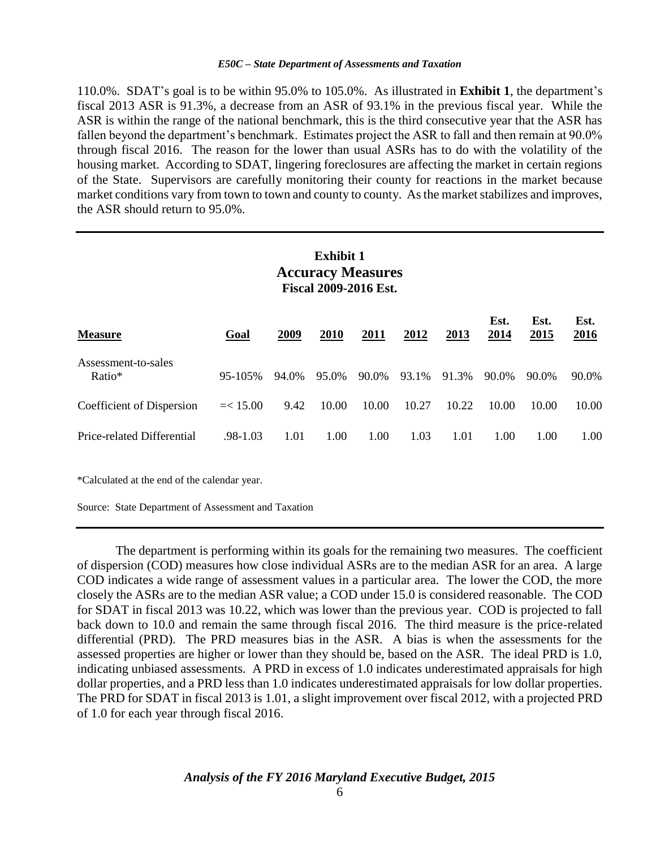#### *E50C – State Department of Assessments and Taxation*

110.0%. SDAT's goal is to be within 95.0% to 105.0%. As illustrated in **Exhibit 1**, the department's fiscal 2013 ASR is 91.3%, a decrease from an ASR of 93.1% in the previous fiscal year. While the ASR is within the range of the national benchmark, this is the third consecutive year that the ASR has fallen beyond the department's benchmark. Estimates project the ASR to fall and then remain at 90.0% through fiscal 2016. The reason for the lower than usual ASRs has to do with the volatility of the housing market. According to SDAT, lingering foreclosures are affecting the market in certain regions of the State. Supervisors are carefully monitoring their county for reactions in the market because market conditions vary from town to town and county to county. As the market stabilizes and improves, the ASR should return to 95.0%.

### **Exhibit 1 Accuracy Measures Fiscal 2009-2016 Est.**

| <b>Measure</b>                | Goal         | 2009  | 2010  | 2011  | 2012  | 2013  | Est.<br>2014 | Est.<br>2015 | Est.<br>2016 |
|-------------------------------|--------------|-------|-------|-------|-------|-------|--------------|--------------|--------------|
| Assessment-to-sales<br>Ratio* | 95-105%      | 94.0% | 95.0% | 90.0% | 93.1% | 91.3% | 90.0%        | 90.0%        | 90.0%        |
| Coefficient of Dispersion     | $=< 15.00$   | 9.42  | 10.00 | 10.00 | 10.27 | 10.22 | 10.00        | 10.00        | 10.00        |
| Price-related Differential    | $.98 - 1.03$ | 1.01  | 1.00  | 1.00  | 1.03  | 1.01  | 1.00         | 1.00         | 1.00         |

\*Calculated at the end of the calendar year.

Source: State Department of Assessment and Taxation

The department is performing within its goals for the remaining two measures. The coefficient of dispersion (COD) measures how close individual ASRs are to the median ASR for an area. A large COD indicates a wide range of assessment values in a particular area. The lower the COD, the more closely the ASRs are to the median ASR value; a COD under 15.0 is considered reasonable. The COD for SDAT in fiscal 2013 was 10.22, which was lower than the previous year. COD is projected to fall back down to 10.0 and remain the same through fiscal 2016. The third measure is the price-related differential (PRD). The PRD measures bias in the ASR. A bias is when the assessments for the assessed properties are higher or lower than they should be, based on the ASR. The ideal PRD is 1.0, indicating unbiased assessments. A PRD in excess of 1.0 indicates underestimated appraisals for high dollar properties, and a PRD less than 1.0 indicates underestimated appraisals for low dollar properties. The PRD for SDAT in fiscal 2013 is 1.01, a slight improvement over fiscal 2012, with a projected PRD of 1.0 for each year through fiscal 2016.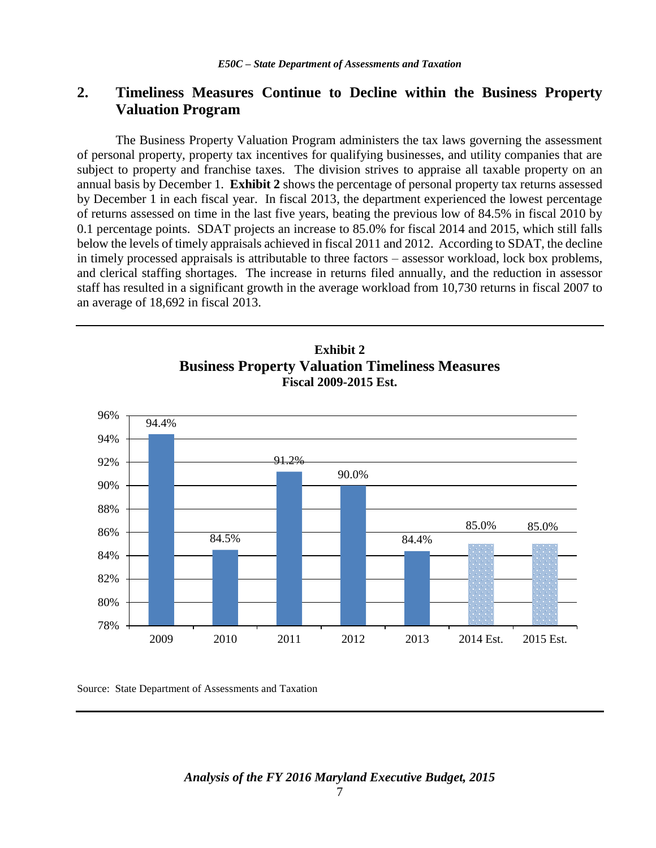## **2. Timeliness Measures Continue to Decline within the Business Property Valuation Program**

The Business Property Valuation Program administers the tax laws governing the assessment of personal property, property tax incentives for qualifying businesses, and utility companies that are subject to property and franchise taxes. The division strives to appraise all taxable property on an annual basis by December 1. **Exhibit 2** shows the percentage of personal property tax returns assessed by December 1 in each fiscal year. In fiscal 2013, the department experienced the lowest percentage of returns assessed on time in the last five years, beating the previous low of 84.5% in fiscal 2010 by 0.1 percentage points. SDAT projects an increase to 85.0% for fiscal 2014 and 2015, which still falls below the levels of timely appraisals achieved in fiscal 2011 and 2012. According to SDAT, the decline in timely processed appraisals is attributable to three factors – assessor workload, lock box problems, and clerical staffing shortages. The increase in returns filed annually, and the reduction in assessor staff has resulted in a significant growth in the average workload from 10,730 returns in fiscal 2007 to an average of 18,692 in fiscal 2013.





Source: State Department of Assessments and Taxation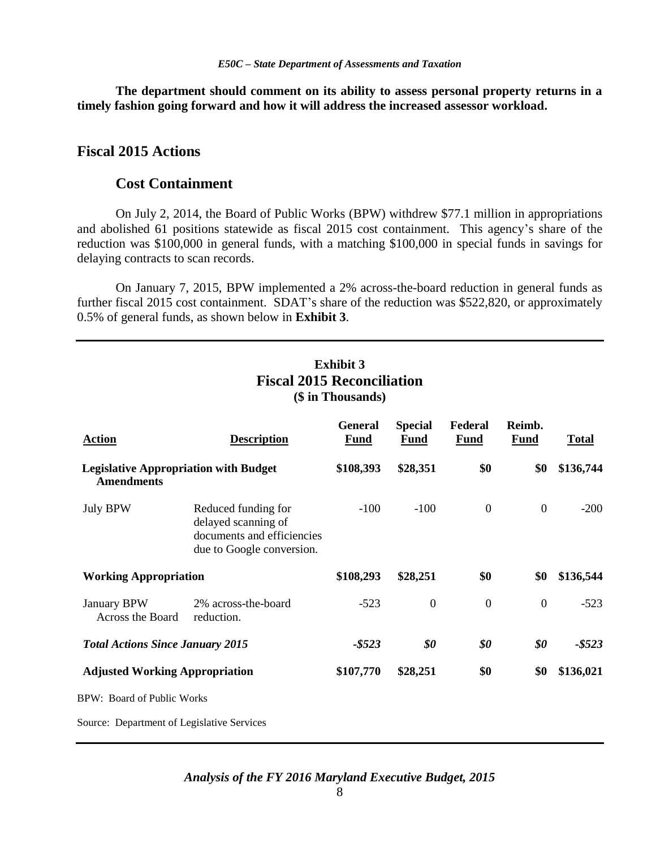**The department should comment on its ability to assess personal property returns in a timely fashion going forward and how it will address the increased assessor workload.**

## **Fiscal 2015 Actions**

## **Cost Containment**

On July 2, 2014, the Board of Public Works (BPW) withdrew \$77.1 million in appropriations and abolished 61 positions statewide as fiscal 2015 cost containment. This agency's share of the reduction was \$100,000 in general funds, with a matching \$100,000 in special funds in savings for delaying contracts to scan records.

On January 7, 2015, BPW implemented a 2% across-the-board reduction in general funds as further fiscal 2015 cost containment. SDAT's share of the reduction was \$522,820, or approximately 0.5% of general funds, as shown below in **Exhibit 3**.

#### **Exhibit 3 Fiscal 2015 Reconciliation (\$ in Thousands)**

| <b>Action</b>                                                     | <b>Description</b>                                                                                    | <b>General</b><br><b>Fund</b> | <b>Special</b><br><b>Fund</b> | Federal<br><b>Fund</b> | Reimb.<br><b>Fund</b> | <b>Total</b> |
|-------------------------------------------------------------------|-------------------------------------------------------------------------------------------------------|-------------------------------|-------------------------------|------------------------|-----------------------|--------------|
| <b>Legislative Appropriation with Budget</b><br><b>Amendments</b> | \$108,393                                                                                             | \$28,351                      | \$0                           | \$0                    | \$136,744             |              |
| <b>July BPW</b>                                                   | Reduced funding for<br>delayed scanning of<br>documents and efficiencies<br>due to Google conversion. | $-100$                        | $-100$                        | $\mathbf{0}$           | $\overline{0}$        | $-200$       |
| <b>Working Appropriation</b>                                      |                                                                                                       | \$108,293                     | \$28,251                      | \$0                    | \$0                   | \$136,544    |
| <b>January BPW</b><br><b>Across the Board</b>                     | 2% across-the-board<br>reduction.                                                                     | $-523$                        | $\boldsymbol{0}$              | $\boldsymbol{0}$       | $\boldsymbol{0}$      | $-523$       |
| <b>Total Actions Since January 2015</b>                           |                                                                                                       | $-$ \$523                     | \$0                           | \$0                    | \$0                   | $-$ \$523    |
| <b>Adjusted Working Appropriation</b>                             |                                                                                                       | \$107,770                     | \$28,251                      | \$0                    | \$0                   | \$136,021    |
| <b>BPW: Board of Public Works</b>                                 |                                                                                                       |                               |                               |                        |                       |              |
| Source: Department of Legislative Services                        |                                                                                                       |                               |                               |                        |                       |              |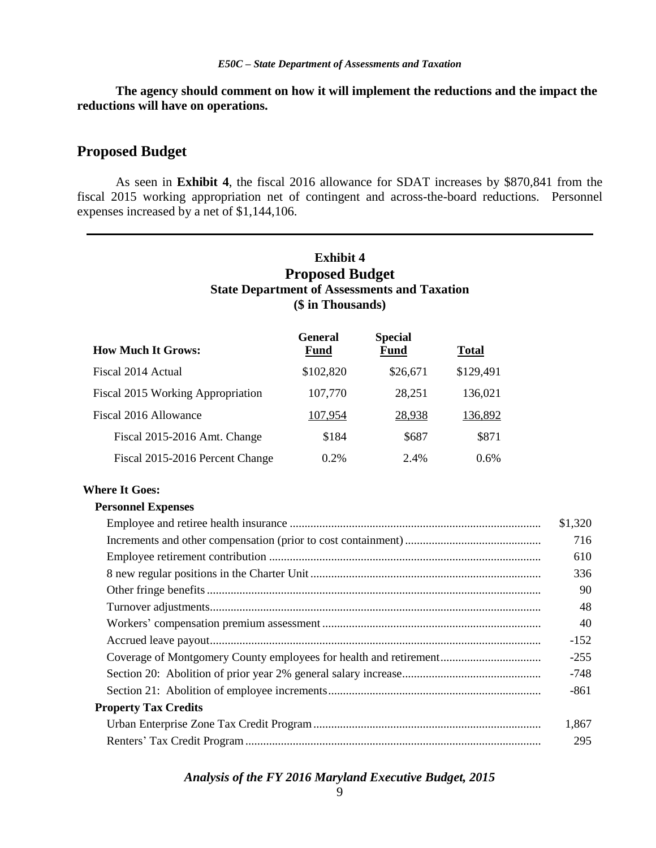**The agency should comment on how it will implement the reductions and the impact the reductions will have on operations.**

## **Proposed Budget**

As seen in **Exhibit 4**, the fiscal 2016 allowance for SDAT increases by \$870,841 from the fiscal 2015 working appropriation net of contingent and across-the-board reductions. Personnel expenses increased by a net of \$1,144,106.

| <b>Exhibit 4</b><br><b>Proposed Budget</b><br><b>State Department of Assessments and Taxation</b><br>(\$ in Thousands) |                               |                               |              |           |  |  |  |  |
|------------------------------------------------------------------------------------------------------------------------|-------------------------------|-------------------------------|--------------|-----------|--|--|--|--|
| <b>How Much It Grows:</b>                                                                                              | <b>General</b><br><b>Fund</b> | <b>Special</b><br><b>Fund</b> | <b>Total</b> |           |  |  |  |  |
| Fiscal 2014 Actual                                                                                                     | \$102,820                     | \$26,671                      | \$129,491    |           |  |  |  |  |
| Fiscal 2015 Working Appropriation                                                                                      | 107,770                       | 28,251                        | 136,021      |           |  |  |  |  |
| Fiscal 2016 Allowance                                                                                                  | 107,954                       | <u>28,938</u>                 | 136,892      |           |  |  |  |  |
| Fiscal 2015-2016 Amt. Change                                                                                           | \$184                         | \$687                         | \$871        |           |  |  |  |  |
| Fiscal 2015-2016 Percent Change                                                                                        | 0.2%                          | 2.4%                          | 0.6%         |           |  |  |  |  |
| <b>Where It Goes:</b>                                                                                                  |                               |                               |              |           |  |  |  |  |
| <b>Personnel Expenses</b>                                                                                              |                               |                               |              |           |  |  |  |  |
|                                                                                                                        |                               |                               |              | \$1,320   |  |  |  |  |
|                                                                                                                        |                               |                               |              | 716       |  |  |  |  |
|                                                                                                                        |                               |                               |              | 610       |  |  |  |  |
|                                                                                                                        |                               |                               |              | 336<br>90 |  |  |  |  |
|                                                                                                                        |                               |                               |              | 48        |  |  |  |  |
|                                                                                                                        |                               |                               |              | 40        |  |  |  |  |
|                                                                                                                        |                               |                               |              | $-152$    |  |  |  |  |
|                                                                                                                        |                               |                               |              | $-255$    |  |  |  |  |
|                                                                                                                        |                               |                               |              | $-748$    |  |  |  |  |
|                                                                                                                        |                               |                               |              | $-861$    |  |  |  |  |
| <b>Property Tax Credits</b>                                                                                            |                               |                               |              |           |  |  |  |  |
|                                                                                                                        |                               |                               |              | 1,867     |  |  |  |  |
|                                                                                                                        |                               |                               |              | 295       |  |  |  |  |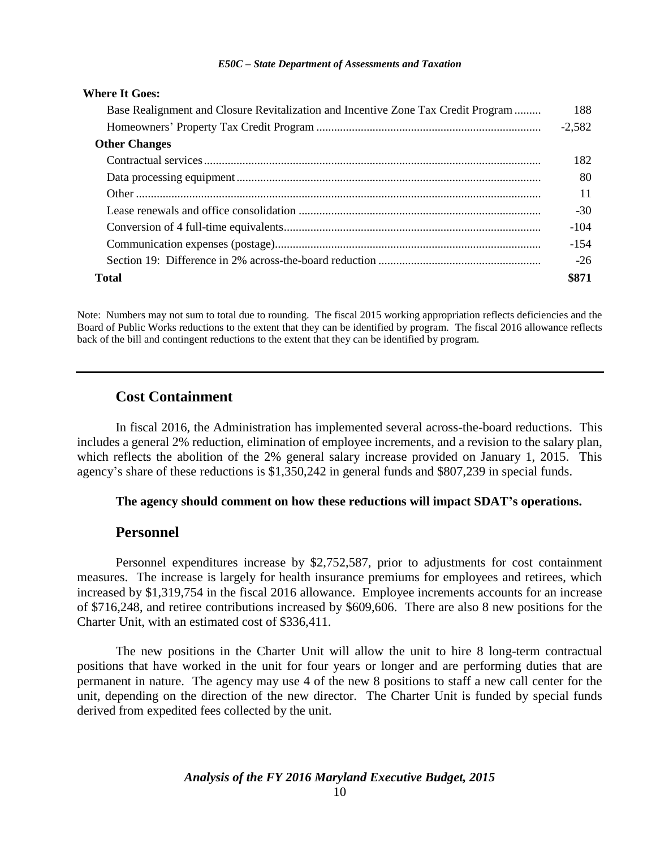#### *E50C – State Department of Assessments and Taxation*

| <b>Where It Goes:</b>                                                             |          |
|-----------------------------------------------------------------------------------|----------|
| Base Realignment and Closure Revitalization and Incentive Zone Tax Credit Program | 188      |
|                                                                                   | $-2,582$ |
| <b>Other Changes</b>                                                              |          |
|                                                                                   | 182      |
|                                                                                   | 80       |
|                                                                                   | 11       |
|                                                                                   | $-30$    |
|                                                                                   | $-104$   |
|                                                                                   | $-1.54$  |
|                                                                                   | $-26$    |
| <b>Total</b>                                                                      | \$871    |
|                                                                                   |          |

Note: Numbers may not sum to total due to rounding. The fiscal 2015 working appropriation reflects deficiencies and the Board of Public Works reductions to the extent that they can be identified by program. The fiscal 2016 allowance reflects back of the bill and contingent reductions to the extent that they can be identified by program.

## **Cost Containment**

In fiscal 2016, the Administration has implemented several across-the-board reductions. This includes a general 2% reduction, elimination of employee increments, and a revision to the salary plan, which reflects the abolition of the 2% general salary increase provided on January 1, 2015. This agency's share of these reductions is \$1,350,242 in general funds and \$807,239 in special funds.

#### **The agency should comment on how these reductions will impact SDAT's operations.**

#### **Personnel**

Personnel expenditures increase by \$2,752,587, prior to adjustments for cost containment measures. The increase is largely for health insurance premiums for employees and retirees, which increased by \$1,319,754 in the fiscal 2016 allowance. Employee increments accounts for an increase of \$716,248, and retiree contributions increased by \$609,606. There are also 8 new positions for the Charter Unit, with an estimated cost of \$336,411.

The new positions in the Charter Unit will allow the unit to hire 8 long-term contractual positions that have worked in the unit for four years or longer and are performing duties that are permanent in nature. The agency may use 4 of the new 8 positions to staff a new call center for the unit, depending on the direction of the new director. The Charter Unit is funded by special funds derived from expedited fees collected by the unit.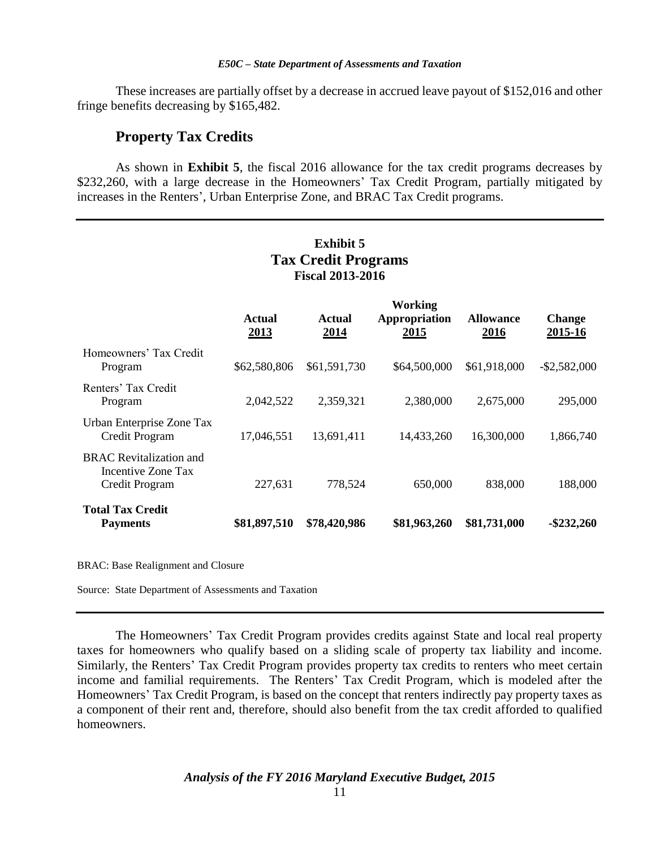#### *E50C – State Department of Assessments and Taxation*

These increases are partially offset by a decrease in accrued leave payout of \$152,016 and other fringe benefits decreasing by \$165,482.

## **Property Tax Credits**

As shown in **Exhibit 5**, the fiscal 2016 allowance for the tax credit programs decreases by \$232,260, with a large decrease in the Homeowners' Tax Credit Program, partially mitigated by increases in the Renters', Urban Enterprise Zone, and BRAC Tax Credit programs.

**Exhibit 5**

| <b>Tax Credit Programs</b><br><b>Fiscal 2013-2016</b>                  |                       |                |                                  |                          |                          |  |  |  |  |
|------------------------------------------------------------------------|-----------------------|----------------|----------------------------------|--------------------------|--------------------------|--|--|--|--|
|                                                                        | <b>Actual</b><br>2013 | Actual<br>2014 | Working<br>Appropriation<br>2015 | <b>Allowance</b><br>2016 | <b>Change</b><br>2015-16 |  |  |  |  |
| Homeowners' Tax Credit<br>Program                                      | \$62,580,806          | \$61,591,730   | \$64,500,000                     | \$61,918,000             | $-$ \$2,582,000          |  |  |  |  |
| Renters' Tax Credit<br>Program                                         | 2,042,522             | 2,359,321      | 2,380,000                        | 2,675,000                | 295,000                  |  |  |  |  |
| Urban Enterprise Zone Tax<br>Credit Program                            | 17,046,551            | 13,691,411     | 14,433,260                       | 16,300,000               | 1,866,740                |  |  |  |  |
| <b>BRAC</b> Revitalization and<br>Incentive Zone Tax<br>Credit Program | 227,631               | 778,524        | 650,000                          | 838,000                  | 188,000                  |  |  |  |  |
| <b>Total Tax Credit</b><br><b>Payments</b>                             | \$81,897,510          | \$78,420,986   | \$81,963,260                     | \$81,731,000             | $-$ \$232,260            |  |  |  |  |

BRAC: Base Realignment and Closure

Source: State Department of Assessments and Taxation

The Homeowners' Tax Credit Program provides credits against State and local real property taxes for homeowners who qualify based on a sliding scale of property tax liability and income. Similarly, the Renters' Tax Credit Program provides property tax credits to renters who meet certain income and familial requirements. The Renters' Tax Credit Program, which is modeled after the Homeowners' Tax Credit Program, is based on the concept that renters indirectly pay property taxes as a component of their rent and, therefore, should also benefit from the tax credit afforded to qualified homeowners.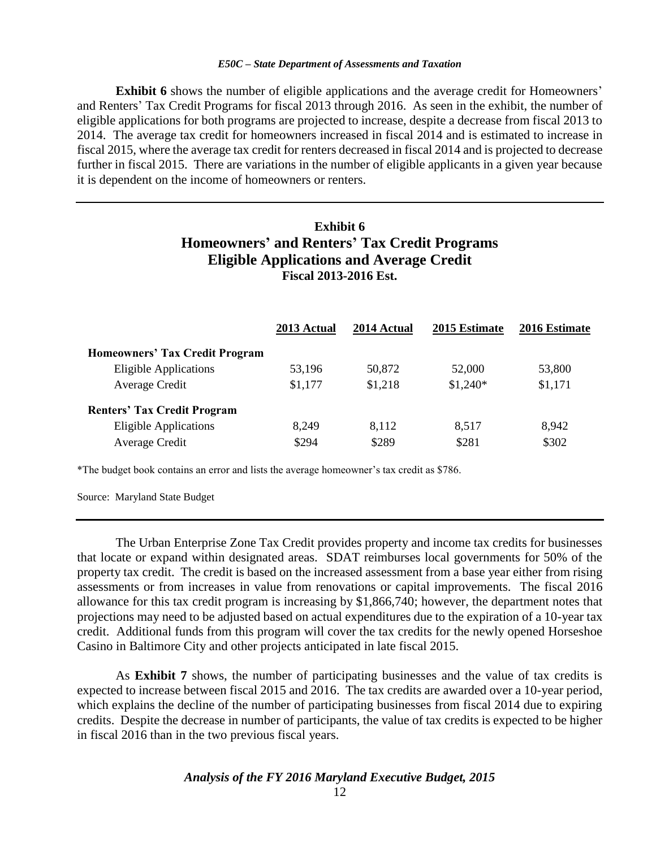**Exhibit 6** shows the number of eligible applications and the average credit for Homeowners' and Renters' Tax Credit Programs for fiscal 2013 through 2016. As seen in the exhibit, the number of eligible applications for both programs are projected to increase, despite a decrease from fiscal 2013 to 2014. The average tax credit for homeowners increased in fiscal 2014 and is estimated to increase in fiscal 2015, where the average tax credit for renters decreased in fiscal 2014 and is projected to decrease further in fiscal 2015. There are variations in the number of eligible applicants in a given year because it is dependent on the income of homeowners or renters.

## **Exhibit 6 Homeowners' and Renters' Tax Credit Programs Eligible Applications and Average Credit Fiscal 2013-2016 Est.**

|                                       | 2013 Actual | 2014 Actual | 2015 Estimate | 2016 Estimate |
|---------------------------------------|-------------|-------------|---------------|---------------|
| <b>Homeowners' Tax Credit Program</b> |             |             |               |               |
| <b>Eligible Applications</b>          | 53,196      | 50,872      | 52,000        | 53,800        |
| Average Credit                        | \$1,177     | \$1,218     | $$1,240*$     | \$1,171       |
| <b>Renters' Tax Credit Program</b>    |             |             |               |               |
| <b>Eligible Applications</b>          | 8,249       | 8,112       | 8.517         | 8.942         |
| Average Credit                        | \$294       | \$289       | \$281         | \$302         |

\*The budget book contains an error and lists the average homeowner's tax credit as \$786.

Source: Maryland State Budget

The Urban Enterprise Zone Tax Credit provides property and income tax credits for businesses that locate or expand within designated areas. SDAT reimburses local governments for 50% of the property tax credit. The credit is based on the increased assessment from a base year either from rising assessments or from increases in value from renovations or capital improvements. The fiscal 2016 allowance for this tax credit program is increasing by \$1,866,740; however, the department notes that projections may need to be adjusted based on actual expenditures due to the expiration of a 10-year tax credit. Additional funds from this program will cover the tax credits for the newly opened Horseshoe Casino in Baltimore City and other projects anticipated in late fiscal 2015.

As **Exhibit 7** shows, the number of participating businesses and the value of tax credits is expected to increase between fiscal 2015 and 2016. The tax credits are awarded over a 10-year period, which explains the decline of the number of participating businesses from fiscal 2014 due to expiring credits. Despite the decrease in number of participants, the value of tax credits is expected to be higher in fiscal 2016 than in the two previous fiscal years.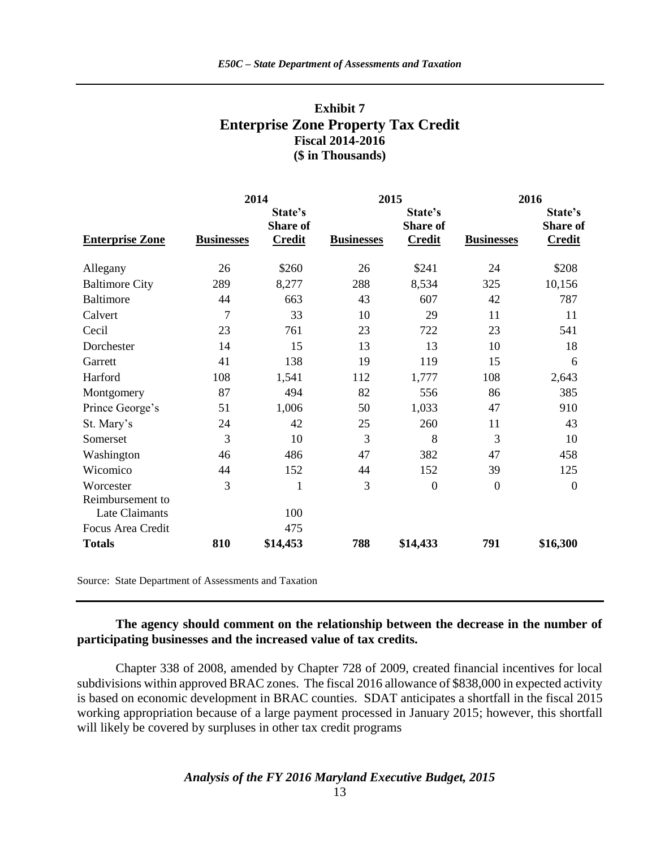## **Exhibit 7 Enterprise Zone Property Tax Credit Fiscal 2014-2016 (\$ in Thousands)**

|                        | 2014              |                 |                   | 2015             |                   | 2016             |  |
|------------------------|-------------------|-----------------|-------------------|------------------|-------------------|------------------|--|
|                        |                   | State's         |                   | State's          |                   | State's          |  |
|                        |                   | <b>Share of</b> |                   | <b>Share of</b>  |                   | <b>Share of</b>  |  |
| <b>Enterprise Zone</b> | <b>Businesses</b> | <b>Credit</b>   | <b>Businesses</b> | <b>Credit</b>    | <b>Businesses</b> | <b>Credit</b>    |  |
| Allegany               | 26                | \$260           | 26                | \$241            | 24                | \$208            |  |
| <b>Baltimore City</b>  | 289               | 8,277           | 288               | 8,534            | 325               | 10,156           |  |
| <b>Baltimore</b>       | 44                | 663             | 43                | 607              | 42                | 787              |  |
| Calvert                | $\overline{7}$    | 33              | 10                | 29               | 11                | 11               |  |
| Cecil                  | 23                | 761             | 23                | 722              | 23                | 541              |  |
| Dorchester             | 14                | 15              | 13                | 13               | 10                | 18               |  |
| Garrett                | 41                | 138             | 19                | 119              | 15                | 6                |  |
| Harford                | 108               | 1,541           | 112               | 1,777            | 108               | 2,643            |  |
| Montgomery             | 87                | 494             | 82                | 556              | 86                | 385              |  |
| Prince George's        | 51                | 1,006           | 50                | 1,033            | 47                | 910              |  |
| St. Mary's             | 24                | 42              | 25                | 260              | 11                | 43               |  |
| Somerset               | 3                 | 10              | 3                 | 8                | 3                 | 10               |  |
| Washington             | 46                | 486             | 47                | 382              | 47                | 458              |  |
| Wicomico               | 44                | 152             | 44                | 152              | 39                | 125              |  |
| Worcester              | 3                 | 1               | 3                 | $\boldsymbol{0}$ | $\boldsymbol{0}$  | $\boldsymbol{0}$ |  |
| Reimbursement to       |                   |                 |                   |                  |                   |                  |  |
| Late Claimants         |                   | 100             |                   |                  |                   |                  |  |
| Focus Area Credit      |                   | 475             |                   |                  |                   |                  |  |
| <b>Totals</b>          | 810               | \$14,453        | 788               | \$14,433         | 791               | \$16,300         |  |

Source: State Department of Assessments and Taxation

#### **The agency should comment on the relationship between the decrease in the number of participating businesses and the increased value of tax credits.**

Chapter 338 of 2008, amended by Chapter 728 of 2009, created financial incentives for local subdivisions within approved BRAC zones. The fiscal 2016 allowance of \$838,000 in expected activity is based on economic development in BRAC counties. SDAT anticipates a shortfall in the fiscal 2015 working appropriation because of a large payment processed in January 2015; however, this shortfall will likely be covered by surpluses in other tax credit programs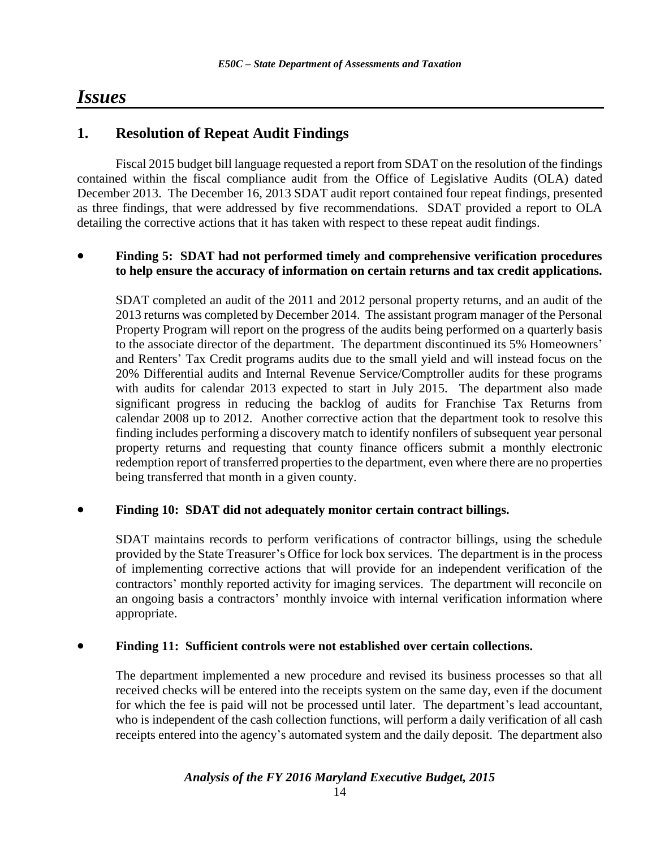## *Issues*

## **1. Resolution of Repeat Audit Findings**

Fiscal 2015 budget bill language requested a report from SDAT on the resolution of the findings contained within the fiscal compliance audit from the Office of Legislative Audits (OLA) dated December 2013. The December 16, 2013 SDAT audit report contained four repeat findings, presented as three findings, that were addressed by five recommendations. SDAT provided a report to OLA detailing the corrective actions that it has taken with respect to these repeat audit findings.

#### **Finding 5: SDAT had not performed timely and comprehensive verification procedures to help ensure the accuracy of information on certain returns and tax credit applications.**

SDAT completed an audit of the 2011 and 2012 personal property returns, and an audit of the 2013 returns was completed by December 2014. The assistant program manager of the Personal Property Program will report on the progress of the audits being performed on a quarterly basis to the associate director of the department. The department discontinued its 5% Homeowners' and Renters' Tax Credit programs audits due to the small yield and will instead focus on the 20% Differential audits and Internal Revenue Service/Comptroller audits for these programs with audits for calendar 2013 expected to start in July 2015. The department also made significant progress in reducing the backlog of audits for Franchise Tax Returns from calendar 2008 up to 2012. Another corrective action that the department took to resolve this finding includes performing a discovery match to identify nonfilers of subsequent year personal property returns and requesting that county finance officers submit a monthly electronic redemption report of transferred properties to the department, even where there are no properties being transferred that month in a given county.

#### **Finding 10: SDAT did not adequately monitor certain contract billings.**

SDAT maintains records to perform verifications of contractor billings, using the schedule provided by the State Treasurer's Office for lock box services. The department is in the process of implementing corrective actions that will provide for an independent verification of the contractors' monthly reported activity for imaging services. The department will reconcile on an ongoing basis a contractors' monthly invoice with internal verification information where appropriate.

#### **Finding 11: Sufficient controls were not established over certain collections.**

The department implemented a new procedure and revised its business processes so that all received checks will be entered into the receipts system on the same day, even if the document for which the fee is paid will not be processed until later. The department's lead accountant, who is independent of the cash collection functions, will perform a daily verification of all cash receipts entered into the agency's automated system and the daily deposit. The department also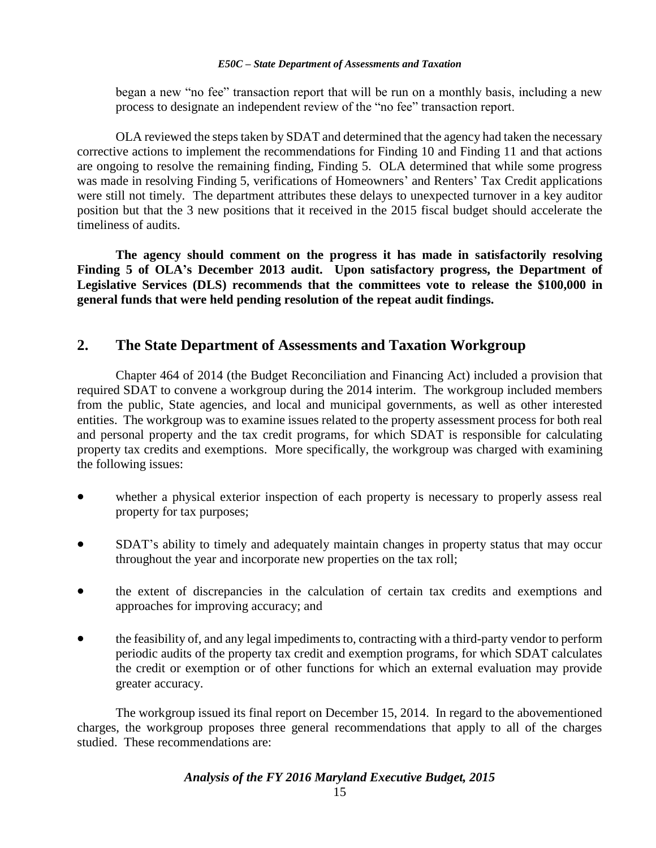began a new "no fee" transaction report that will be run on a monthly basis, including a new process to designate an independent review of the "no fee" transaction report.

OLA reviewed the steps taken by SDAT and determined that the agency had taken the necessary corrective actions to implement the recommendations for Finding 10 and Finding 11 and that actions are ongoing to resolve the remaining finding, Finding 5. OLA determined that while some progress was made in resolving Finding 5, verifications of Homeowners' and Renters' Tax Credit applications were still not timely. The department attributes these delays to unexpected turnover in a key auditor position but that the 3 new positions that it received in the 2015 fiscal budget should accelerate the timeliness of audits.

**The agency should comment on the progress it has made in satisfactorily resolving Finding 5 of OLA's December 2013 audit. Upon satisfactory progress, the Department of Legislative Services (DLS) recommends that the committees vote to release the \$100,000 in general funds that were held pending resolution of the repeat audit findings.** 

## **2. The State Department of Assessments and Taxation Workgroup**

Chapter 464 of 2014 (the Budget Reconciliation and Financing Act) included a provision that required SDAT to convene a workgroup during the 2014 interim. The workgroup included members from the public, State agencies, and local and municipal governments, as well as other interested entities. The workgroup was to examine issues related to the property assessment process for both real and personal property and the tax credit programs, for which SDAT is responsible for calculating property tax credits and exemptions. More specifically, the workgroup was charged with examining the following issues:

- whether a physical exterior inspection of each property is necessary to properly assess real property for tax purposes;
- SDAT's ability to timely and adequately maintain changes in property status that may occur throughout the year and incorporate new properties on the tax roll;
- the extent of discrepancies in the calculation of certain tax credits and exemptions and approaches for improving accuracy; and
- the feasibility of, and any legal impediments to, contracting with a third-party vendor to perform periodic audits of the property tax credit and exemption programs, for which SDAT calculates the credit or exemption or of other functions for which an external evaluation may provide greater accuracy.

The workgroup issued its final report on December 15, 2014. In regard to the abovementioned charges, the workgroup proposes three general recommendations that apply to all of the charges studied. These recommendations are: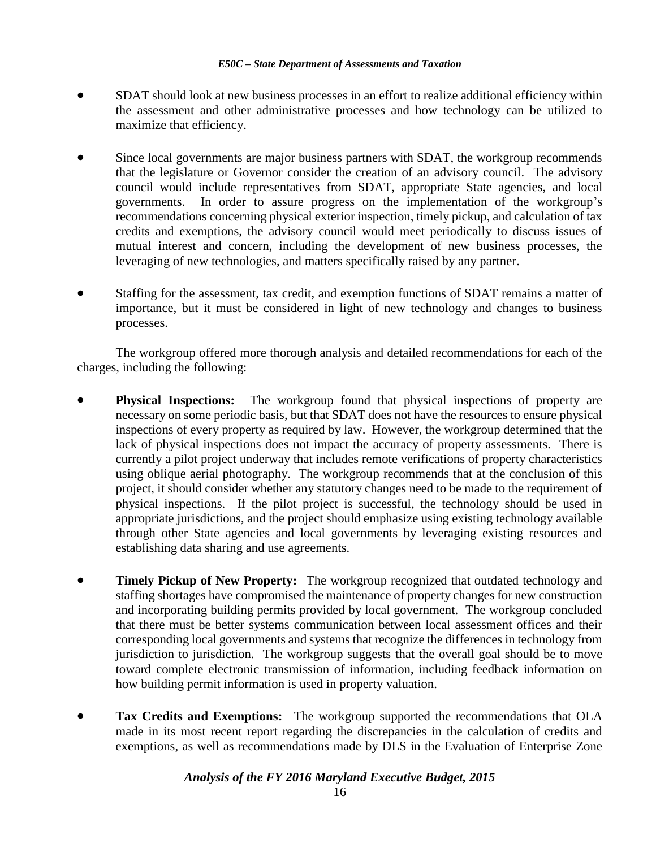- SDAT should look at new business processes in an effort to realize additional efficiency within the assessment and other administrative processes and how technology can be utilized to maximize that efficiency.
- Since local governments are major business partners with SDAT, the workgroup recommends that the legislature or Governor consider the creation of an advisory council. The advisory council would include representatives from SDAT, appropriate State agencies, and local governments. In order to assure progress on the implementation of the workgroup's recommendations concerning physical exterior inspection, timely pickup, and calculation of tax credits and exemptions, the advisory council would meet periodically to discuss issues of mutual interest and concern, including the development of new business processes, the leveraging of new technologies, and matters specifically raised by any partner.
- Staffing for the assessment, tax credit, and exemption functions of SDAT remains a matter of importance, but it must be considered in light of new technology and changes to business processes.

The workgroup offered more thorough analysis and detailed recommendations for each of the charges, including the following:

- **Physical Inspections:** The workgroup found that physical inspections of property are necessary on some periodic basis, but that SDAT does not have the resources to ensure physical inspections of every property as required by law. However, the workgroup determined that the lack of physical inspections does not impact the accuracy of property assessments. There is currently a pilot project underway that includes remote verifications of property characteristics using oblique aerial photography. The workgroup recommends that at the conclusion of this project, it should consider whether any statutory changes need to be made to the requirement of physical inspections. If the pilot project is successful, the technology should be used in appropriate jurisdictions, and the project should emphasize using existing technology available through other State agencies and local governments by leveraging existing resources and establishing data sharing and use agreements.
- **Timely Pickup of New Property:** The workgroup recognized that outdated technology and staffing shortages have compromised the maintenance of property changes for new construction and incorporating building permits provided by local government. The workgroup concluded that there must be better systems communication between local assessment offices and their corresponding local governments and systems that recognize the differences in technology from jurisdiction to jurisdiction. The workgroup suggests that the overall goal should be to move toward complete electronic transmission of information, including feedback information on how building permit information is used in property valuation.
- **Tax Credits and Exemptions:** The workgroup supported the recommendations that OLA made in its most recent report regarding the discrepancies in the calculation of credits and exemptions, as well as recommendations made by DLS in the Evaluation of Enterprise Zone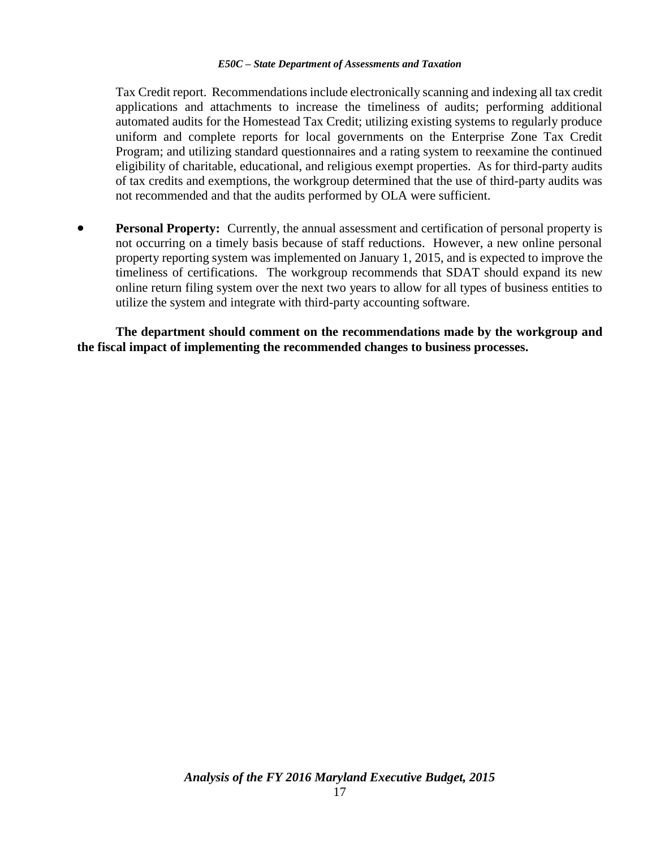Tax Credit report. Recommendations include electronically scanning and indexing all tax credit applications and attachments to increase the timeliness of audits; performing additional automated audits for the Homestead Tax Credit; utilizing existing systems to regularly produce uniform and complete reports for local governments on the Enterprise Zone Tax Credit Program; and utilizing standard questionnaires and a rating system to reexamine the continued eligibility of charitable, educational, and religious exempt properties. As for third-party audits of tax credits and exemptions, the workgroup determined that the use of third-party audits was not recommended and that the audits performed by OLA were sufficient.

**Personal Property:** Currently, the annual assessment and certification of personal property is not occurring on a timely basis because of staff reductions. However, a new online personal property reporting system was implemented on January 1, 2015, and is expected to improve the timeliness of certifications. The workgroup recommends that SDAT should expand its new online return filing system over the next two years to allow for all types of business entities to utilize the system and integrate with third-party accounting software.

**The department should comment on the recommendations made by the workgroup and the fiscal impact of implementing the recommended changes to business processes.**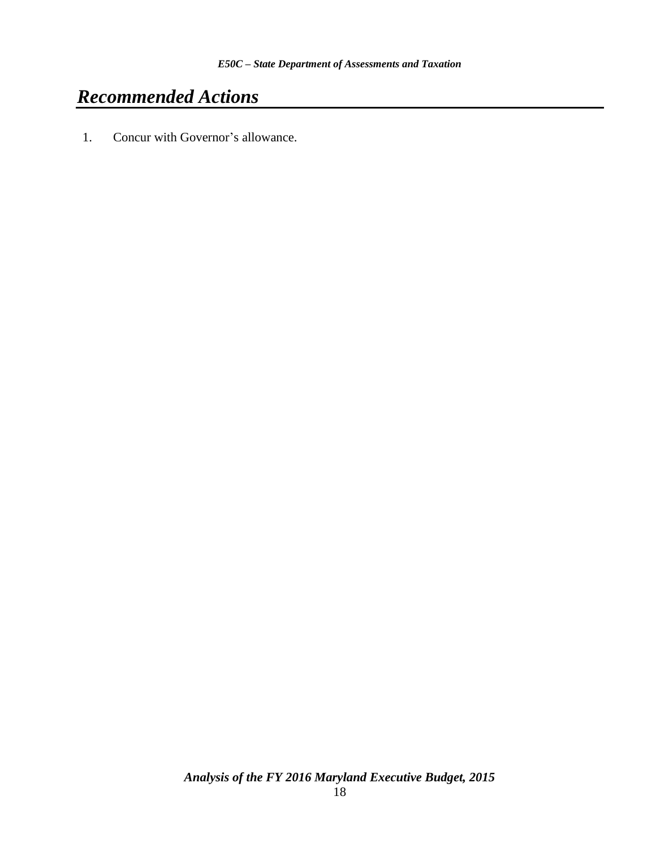# *Recommended Actions*

1. Concur with Governor's allowance.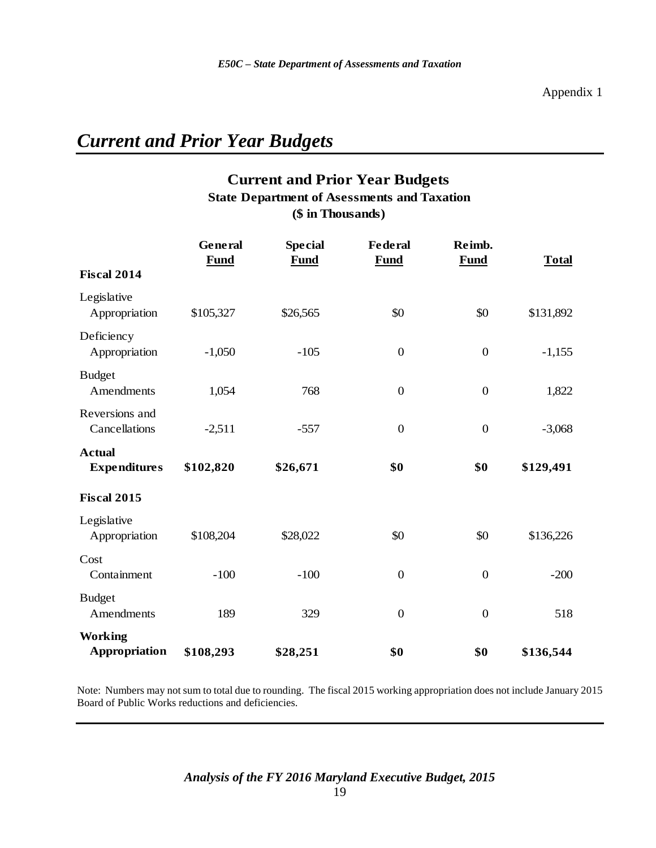# *Current and Prior Year Budgets*

## **Current and Prior Year Budgets (\$ in Thousands) State Department of Asessments and Taxation**

|                                      | General<br><b>Fund</b> | <b>Special</b><br><b>Fund</b> | Federal<br><b>Fund</b> | Reimb.<br><b>Fund</b> | <b>Total</b> |
|--------------------------------------|------------------------|-------------------------------|------------------------|-----------------------|--------------|
| <b>Fiscal 2014</b>                   |                        |                               |                        |                       |              |
| Legislative<br>Appropriation         | \$105,327              | \$26,565                      | \$0                    | \$0                   | \$131,892    |
| Deficiency<br>Appropriation          | $-1,050$               | $-105$                        | $\boldsymbol{0}$       | $\boldsymbol{0}$      | $-1,155$     |
| <b>Budget</b><br>Amendments          | 1,054                  | 768                           | $\boldsymbol{0}$       | $\boldsymbol{0}$      | 1,822        |
| Reversions and<br>Cancellations      | $-2,511$               | $-557$                        | $\overline{0}$         | $\overline{0}$        | $-3,068$     |
| <b>Actual</b><br><b>Expenditures</b> | \$102,820              | \$26,671                      | \$0                    | \$0                   | \$129,491    |
| <b>Fiscal 2015</b>                   |                        |                               |                        |                       |              |
| Legislative<br>Appropriation         | \$108,204              | \$28,022                      | \$0                    | \$0                   | \$136,226    |
| Cost<br>Containment                  | $-100$                 | $-100$                        | $\boldsymbol{0}$       | $\boldsymbol{0}$      | $-200$       |
| <b>Budget</b><br>Amendments          | 189                    | 329                           | $\boldsymbol{0}$       | $\boldsymbol{0}$      | 518          |
| <b>Working</b><br>Appropriation      | \$108,293              | \$28,251                      | \$0                    | \$0                   | \$136,544    |

Note: Numbers may not sum to total due to rounding. The fiscal 2015 working appropriation does not include January 2015 Board of Public Works reductions and deficiencies.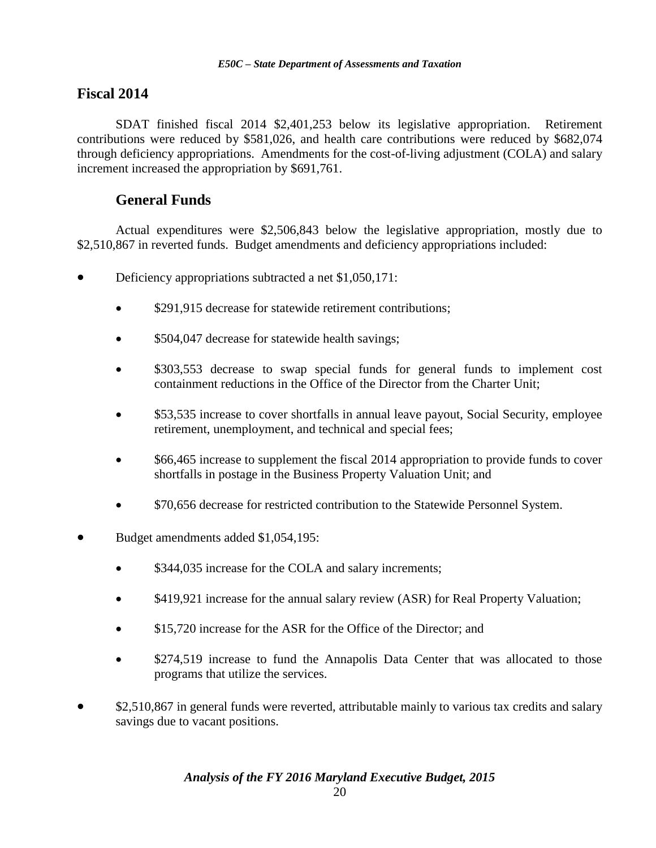## **Fiscal 2014**

SDAT finished fiscal 2014 \$2,401,253 below its legislative appropriation. Retirement contributions were reduced by \$581,026, and health care contributions were reduced by \$682,074 through deficiency appropriations. Amendments for the cost-of-living adjustment (COLA) and salary increment increased the appropriation by \$691,761.

#### **General Funds**

Actual expenditures were \$2,506,843 below the legislative appropriation, mostly due to \$2,510,867 in reverted funds. Budget amendments and deficiency appropriations included:

- Deficiency appropriations subtracted a net \$1,050,171:
	- \$291,915 decrease for statewide retirement contributions:
	- \$504,047 decrease for statewide health savings;
	- \$303,553 decrease to swap special funds for general funds to implement cost containment reductions in the Office of the Director from the Charter Unit;
	- \$53,535 increase to cover shortfalls in annual leave payout, Social Security, employee retirement, unemployment, and technical and special fees;
	- \$66,465 increase to supplement the fiscal 2014 appropriation to provide funds to cover shortfalls in postage in the Business Property Valuation Unit; and
	- \$70,656 decrease for restricted contribution to the Statewide Personnel System.
- Budget amendments added \$1,054,195:
	- $$344,035$  increase for the COLA and salary increments;
	- $$419,921$  increase for the annual salary review (ASR) for Real Property Valuation;
	- \$15,720 increase for the ASR for the Office of the Director: and
	- \$274,519 increase to fund the Annapolis Data Center that was allocated to those programs that utilize the services.
- \$2,510,867 in general funds were reverted, attributable mainly to various tax credits and salary savings due to vacant positions.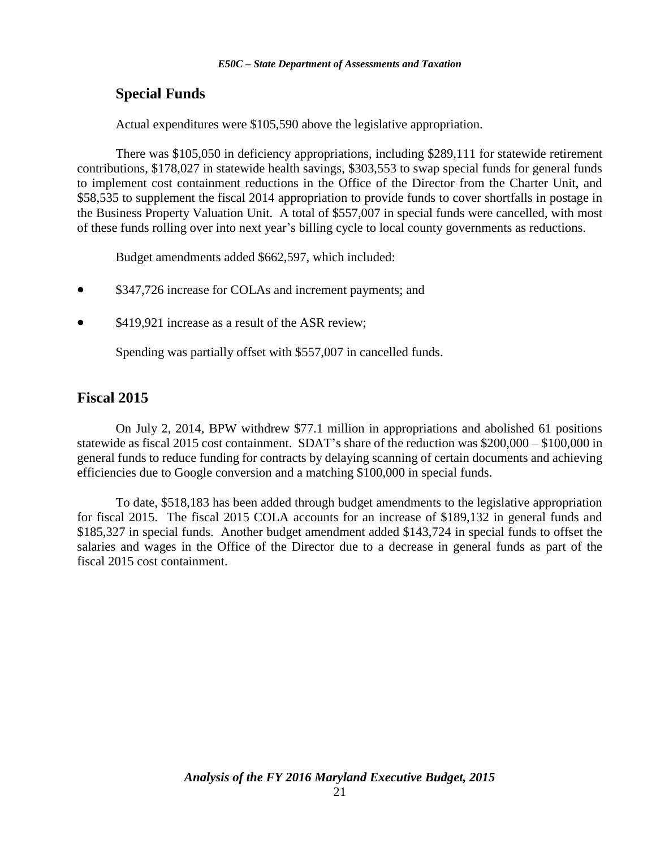## **Special Funds**

Actual expenditures were \$105,590 above the legislative appropriation.

There was \$105,050 in deficiency appropriations, including \$289,111 for statewide retirement contributions, \$178,027 in statewide health savings, \$303,553 to swap special funds for general funds to implement cost containment reductions in the Office of the Director from the Charter Unit, and \$58,535 to supplement the fiscal 2014 appropriation to provide funds to cover shortfalls in postage in the Business Property Valuation Unit. A total of \$557,007 in special funds were cancelled, with most of these funds rolling over into next year's billing cycle to local county governments as reductions.

Budget amendments added \$662,597, which included:

- \$347,726 increase for COLAs and increment payments; and
- \$419,921 increase as a result of the ASR review;

Spending was partially offset with \$557,007 in cancelled funds.

## **Fiscal 2015**

On July 2, 2014, BPW withdrew \$77.1 million in appropriations and abolished 61 positions statewide as fiscal 2015 cost containment. SDAT's share of the reduction was \$200,000 – \$100,000 in general funds to reduce funding for contracts by delaying scanning of certain documents and achieving efficiencies due to Google conversion and a matching \$100,000 in special funds.

To date, \$518,183 has been added through budget amendments to the legislative appropriation for fiscal 2015. The fiscal 2015 COLA accounts for an increase of \$189,132 in general funds and \$185,327 in special funds. Another budget amendment added \$143,724 in special funds to offset the salaries and wages in the Office of the Director due to a decrease in general funds as part of the fiscal 2015 cost containment.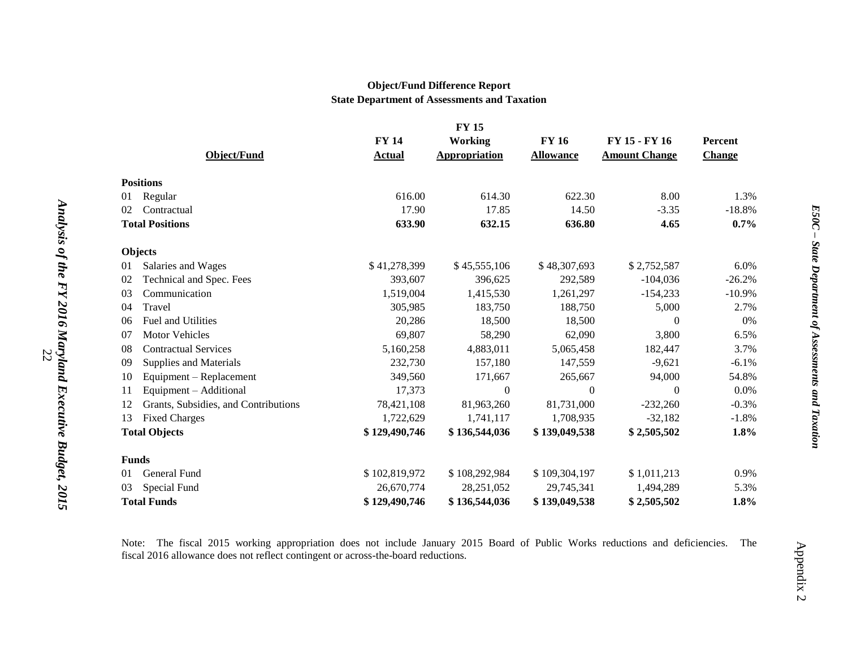#### **Object/Fund Difference Report State Department of Assessments and Taxation**

|              |                                      |               | <b>FY 15</b>   |                  |                      |                |
|--------------|--------------------------------------|---------------|----------------|------------------|----------------------|----------------|
|              |                                      | <b>FY 14</b>  | <b>Working</b> | <b>FY 16</b>     | FY 15 - FY 16        | <b>Percent</b> |
|              | <b>Object/Fund</b>                   | Actual        | Appropriation  | <b>Allowance</b> | <b>Amount Change</b> | <b>Change</b>  |
|              | <b>Positions</b>                     |               |                |                  |                      |                |
| 01           | Regular                              | 616.00        | 614.30         | 622.30           | 8.00                 | 1.3%           |
| 02           | Contractual                          | 17.90         | 17.85          | 14.50            | $-3.35$              | $-18.8%$       |
|              | <b>Total Positions</b>               | 633.90        | 632.15         | 636.80           | 4.65                 | 0.7%           |
|              | Objects                              |               |                |                  |                      |                |
| 01           | Salaries and Wages                   | \$41,278,399  | \$45,555,106   | \$48,307,693     | \$2,752,587          | 6.0%           |
| 02           | Technical and Spec. Fees             | 393,607       | 396,625        | 292,589          | $-104,036$           | $-26.2%$       |
| 03           | Communication                        | 1,519,004     | 1,415,530      | 1,261,297        | $-154,233$           | $-10.9%$       |
| 04           | Travel                               | 305,985       | 183,750        | 188,750          | 5,000                | 2.7%           |
| 06           | Fuel and Utilities                   | 20,286        | 18,500         | 18,500           | $\Omega$             | 0%             |
| 07           | <b>Motor Vehicles</b>                | 69,807        | 58,290         | 62,090           | 3,800                | 6.5%           |
| 08           | <b>Contractual Services</b>          | 5,160,258     | 4,883,011      | 5,065,458        | 182,447              | 3.7%           |
| 09           | Supplies and Materials               | 232,730       | 157,180        | 147,559          | $-9,621$             | $-6.1%$        |
| 10           | Equipment - Replacement              | 349,560       | 171,667        | 265,667          | 94,000               | 54.8%          |
| 11           | Equipment - Additional               | 17,373        | $\mathbf{0}$   | $\theta$         | $\theta$             | 0.0%           |
| 12           | Grants, Subsidies, and Contributions | 78,421,108    | 81,963,260     | 81,731,000       | $-232,260$           | $-0.3%$        |
| 13           | <b>Fixed Charges</b>                 | 1,722,629     | 1,741,117      | 1,708,935        | $-32,182$            | $-1.8%$        |
|              | <b>Total Objects</b>                 | \$129,490,746 | \$136,544,036  | \$139,049,538    | \$2,505,502          | 1.8%           |
| <b>Funds</b> |                                      |               |                |                  |                      |                |
| 01           | General Fund                         | \$102,819,972 | \$108,292,984  | \$109,304,197    | \$1,011,213          | 0.9%           |
| 03           | Special Fund                         | 26,670,774    | 28,251,052     | 29,745,341       | 1,494,289            | 5.3%           |
|              | <b>Total Funds</b>                   | \$129,490,746 | \$136,544,036  | \$139,049,538    | \$2,505,502          | 1.8%           |

Note: The fiscal 2015 working appropriation does not include January 2015 Board of Public Works reductions and deficiencies. The fiscal 2016 allowance does not reflect contingent or across-the-board reductions.